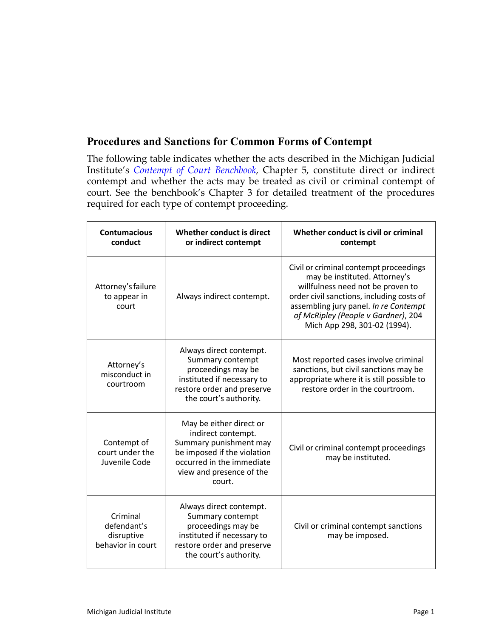## **Procedures and Sanctions for Common Forms of Contempt**

The following table indicates whether the acts described in the Michigan Judicial Institute's *[Contempt of Court Benchbook](https://mjieducation.mi.gov/training/ContemptResponsiveHTML5/index.html)*, Chapter 5, constitute direct or indirect contempt and whether the acts may be treated as civil or criminal contempt of court. See the benchbook's Chapter 3 for detailed treatment of the procedures required for each type of contempt proceeding.

| <b>Contumacious</b><br>conduct                             | Whether conduct is direct<br>or indirect contempt                                                                                                                         | Whether conduct is civil or criminal<br>contempt                                                                                                                                                                                                                          |
|------------------------------------------------------------|---------------------------------------------------------------------------------------------------------------------------------------------------------------------------|---------------------------------------------------------------------------------------------------------------------------------------------------------------------------------------------------------------------------------------------------------------------------|
| Attorney's failure<br>to appear in<br>court                | Always indirect contempt.                                                                                                                                                 | Civil or criminal contempt proceedings<br>may be instituted. Attorney's<br>willfulness need not be proven to<br>order civil sanctions, including costs of<br>assembling jury panel. In re Contempt<br>of McRipley (People v Gardner), 204<br>Mich App 298, 301-02 (1994). |
| Attorney's<br>misconduct in<br>courtroom                   | Always direct contempt.<br>Summary contempt<br>proceedings may be<br>instituted if necessary to<br>restore order and preserve<br>the court's authority.                   | Most reported cases involve criminal<br>sanctions, but civil sanctions may be<br>appropriate where it is still possible to<br>restore order in the courtroom.                                                                                                             |
| Contempt of<br>court under the<br>Juvenile Code            | May be either direct or<br>indirect contempt.<br>Summary punishment may<br>be imposed if the violation<br>occurred in the immediate<br>view and presence of the<br>court. | Civil or criminal contempt proceedings<br>may be instituted.                                                                                                                                                                                                              |
| Criminal<br>defendant's<br>disruptive<br>behavior in court | Always direct contempt.<br>Summary contempt<br>proceedings may be<br>instituted if necessary to<br>restore order and preserve<br>the court's authority.                   | Civil or criminal contempt sanctions<br>may be imposed.                                                                                                                                                                                                                   |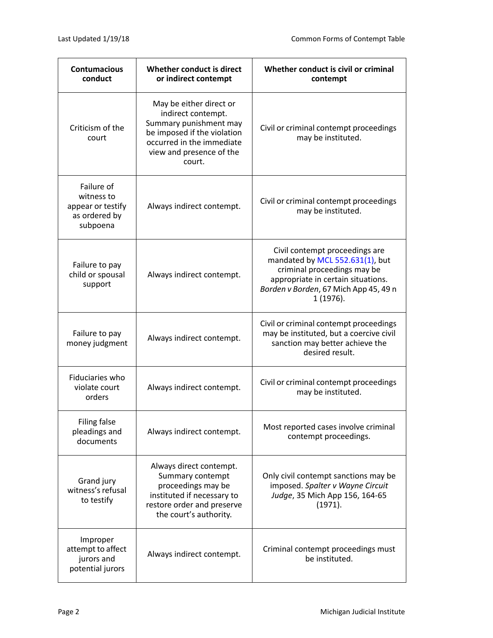| <b>Contumacious</b><br>conduct                                             | Whether conduct is direct<br>or indirect contempt                                                                                                                         | Whether conduct is civil or criminal<br>contempt                                                                                                                                             |
|----------------------------------------------------------------------------|---------------------------------------------------------------------------------------------------------------------------------------------------------------------------|----------------------------------------------------------------------------------------------------------------------------------------------------------------------------------------------|
| Criticism of the<br>court                                                  | May be either direct or<br>indirect contempt.<br>Summary punishment may<br>be imposed if the violation<br>occurred in the immediate<br>view and presence of the<br>court. | Civil or criminal contempt proceedings<br>may be instituted.                                                                                                                                 |
| Failure of<br>witness to<br>appear or testify<br>as ordered by<br>subpoena | Always indirect contempt.                                                                                                                                                 | Civil or criminal contempt proceedings<br>may be instituted.                                                                                                                                 |
| Failure to pay<br>child or spousal<br>support                              | Always indirect contempt.                                                                                                                                                 | Civil contempt proceedings are<br>mandated by MCL 552.631(1), but<br>criminal proceedings may be<br>appropriate in certain situations.<br>Borden v Borden, 67 Mich App 45, 49 n<br>1 (1976). |
| Failure to pay<br>money judgment                                           | Always indirect contempt.                                                                                                                                                 | Civil or criminal contempt proceedings<br>may be instituted, but a coercive civil<br>sanction may better achieve the<br>desired result.                                                      |
| Fiduciaries who<br>violate court<br>orders                                 | Always indirect contempt.                                                                                                                                                 | Civil or criminal contempt proceedings<br>may be instituted.                                                                                                                                 |
| Filing false<br>pleadings and<br>documents                                 | Always indirect contempt.                                                                                                                                                 | Most reported cases involve criminal<br>contempt proceedings.                                                                                                                                |
| Grand jury<br>witness's refusal<br>to testify                              | Always direct contempt.<br>Summary contempt<br>proceedings may be<br>instituted if necessary to<br>restore order and preserve<br>the court's authority.                   | Only civil contempt sanctions may be<br>imposed. Spalter v Wayne Circuit<br>Judge, 35 Mich App 156, 164-65<br>(1971).                                                                        |
| Improper<br>attempt to affect<br>jurors and<br>potential jurors            | Always indirect contempt.                                                                                                                                                 | Criminal contempt proceedings must<br>be instituted.                                                                                                                                         |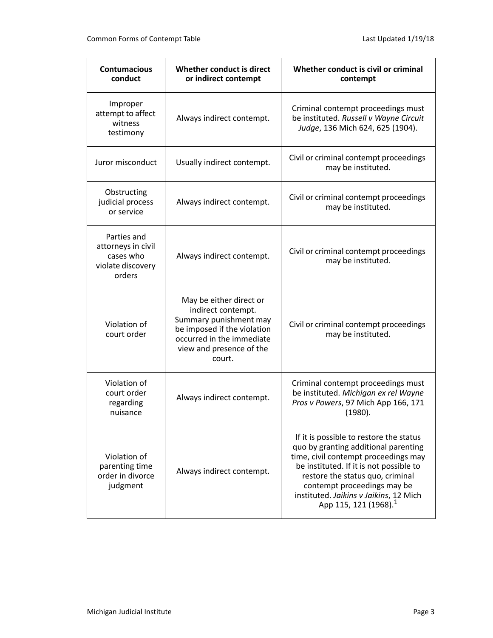| <b>Contumacious</b><br>conduct                                                | Whether conduct is direct<br>or indirect contempt                                                                                                                         | Whether conduct is civil or criminal<br>contempt                                                                                                                                                                                                                                                                     |
|-------------------------------------------------------------------------------|---------------------------------------------------------------------------------------------------------------------------------------------------------------------------|----------------------------------------------------------------------------------------------------------------------------------------------------------------------------------------------------------------------------------------------------------------------------------------------------------------------|
| Improper<br>attempt to affect<br>witness<br>testimony                         | Always indirect contempt.                                                                                                                                                 | Criminal contempt proceedings must<br>be instituted. Russell v Wayne Circuit<br>Judge, 136 Mich 624, 625 (1904).                                                                                                                                                                                                     |
| Juror misconduct                                                              | Usually indirect contempt.                                                                                                                                                | Civil or criminal contempt proceedings<br>may be instituted.                                                                                                                                                                                                                                                         |
| Obstructing<br>judicial process<br>or service                                 | Always indirect contempt.                                                                                                                                                 | Civil or criminal contempt proceedings<br>may be instituted.                                                                                                                                                                                                                                                         |
| Parties and<br>attorneys in civil<br>cases who<br>violate discovery<br>orders | Always indirect contempt.                                                                                                                                                 | Civil or criminal contempt proceedings<br>may be instituted.                                                                                                                                                                                                                                                         |
| Violation of<br>court order                                                   | May be either direct or<br>indirect contempt.<br>Summary punishment may<br>be imposed if the violation<br>occurred in the immediate<br>view and presence of the<br>court. | Civil or criminal contempt proceedings<br>may be instituted.                                                                                                                                                                                                                                                         |
| Violation of<br>court order<br>regarding<br>nuisance                          | Always indirect contempt.                                                                                                                                                 | Criminal contempt proceedings must<br>be instituted. Michigan ex rel Wayne<br>Pros v Powers, 97 Mich App 166, 171<br>(1980).                                                                                                                                                                                         |
| Violation of<br>parenting time<br>order in divorce<br>judgment                | Always indirect contempt.                                                                                                                                                 | If it is possible to restore the status<br>quo by granting additional parenting<br>time, civil contempt proceedings may<br>be instituted. If it is not possible to<br>restore the status quo, criminal<br>contempt proceedings may be<br>instituted. Jaikins v Jaikins, 12 Mich<br>App 115, 121 (1968). <sup>1</sup> |